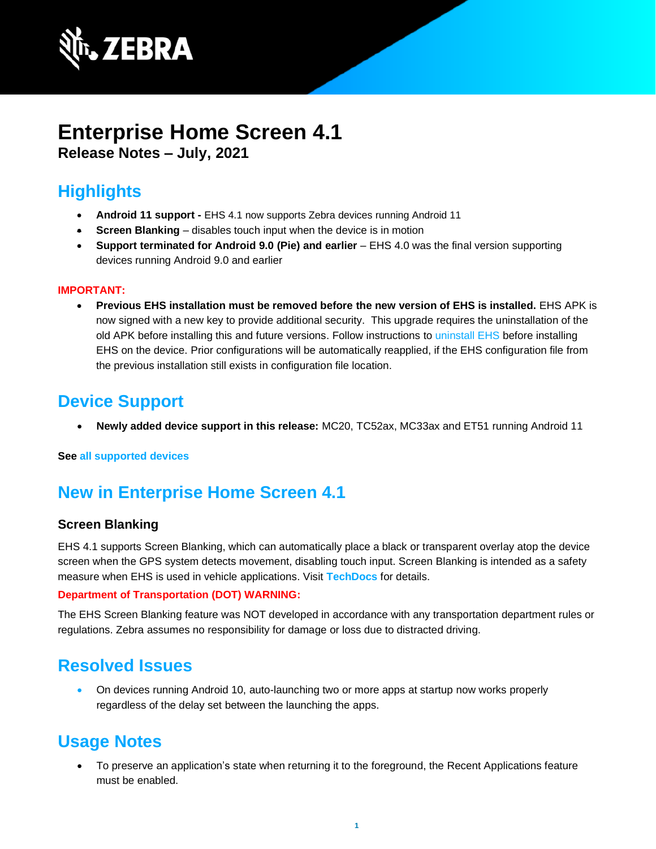

# **Enterprise Home Screen 4.1**

**Release Notes – July, 2021**

# **Highlights**

- **Android 11 support -** EHS 4.1 now supports Zebra devices running Android 11
- **Screen Blanking** disables touch input when the device is in motion
- **Support terminated for Android 9.0 (Pie) and earlier** EHS 4.0 was the final version supporting devices running Android 9.0 and earlier

#### **IMPORTANT:**

• **Previous EHS installation must be removed before the new version of EHS is installed.** EHS APK is now signed with a new key to provide additional security. This upgrade requires the uninstallation of the old APK before installing this and future versions. Follow instructions to [uninstall EHS](https://techdocs.zebra.com/ehs/4-1/guide/setup#uninstallation) before installing EHS on the device. Prior configurations will be automatically reapplied, if the EHS configuration file from the previous installation still exists in configuration file location.

### **Device Support**

• **Newly added device support in this release:** MC20, TC52ax, MC33ax and ET51 running Android 11

#### **See [all supported devices](https://www.zebra.com/us/en/support-downloads/software/utilities/enterprise-home-screen.html)**

# **New in Enterprise Home Screen 4.1**

#### **Screen Blanking**

EHS 4.1 supports Screen Blanking, which can automatically place a black or transparent overlay atop the device screen when the GPS system detects movement, disabling touch input. Screen Blanking is intended as a safety measure when EHS is used in vehicle applications. Visit **[TechDocs](http://techdocs.zebra.com/ehs/4-1/guide/features)** for details.

#### **Department of Transportation (DOT) WARNING:**

The EHS Screen Blanking feature was NOT developed in accordance with any transportation department rules or regulations. Zebra assumes no responsibility for damage or loss due to distracted driving.

### **Resolved Issues**

• On devices running Android 10, auto-launching two or more apps at startup now works properly regardless of the delay set between the launching the apps.

### **Usage Notes**

• To preserve an application's state when returning it to the foreground, the Recent Applications feature must be enabled.